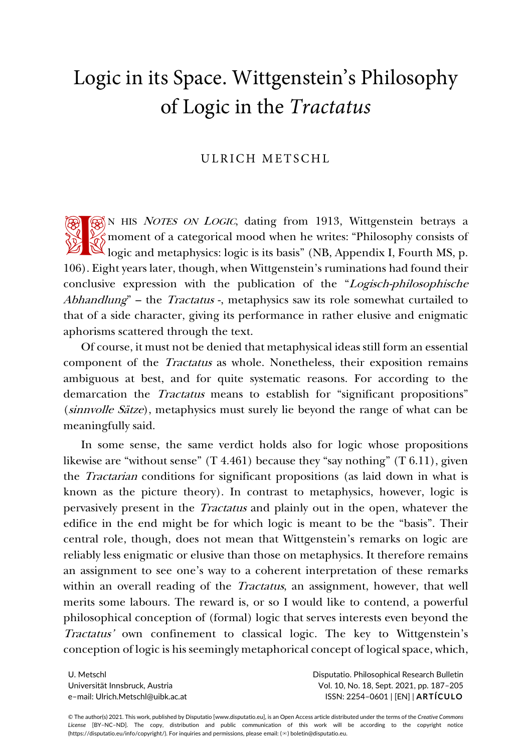# Logic in its Space. Wittgenstein's Philosophy of Logic in the *Tractatus*

## ULRICH METSCHL

SN HIS NOTES ON LOGIC, dating from 1913, Wittgenstein betrays a  $\frac{1}{2}$  moment of a categorical mood when he writes: "Philosophy consists of <sup>1</sup><br>
<sup>2</sup><br>
<sup>2</sup><br>
<sup>2</sup> moment of a categorical mood when he writes: "Philosophy consists of<br>
<sup>2</sup> logic and metaphysics: logic is its basis" (NB, Appendix I, Fourth MS, p. 106). Eight years later, though, when Wittgenstein's ruminations had found their conclusive expression with the publication of the "Logisch-philosophische Abhandlung" – the Tractatus -, metaphysics saw its role somewhat curtailed to that of a side character, giving its performance in rather elusive and enigmatic aphorisms scattered through the text.

Of course, it must not be denied that metaphysical ideas still form an essential component of the Tractatus as whole. Nonetheless, their exposition remains ambiguous at best, and for quite systematic reasons. For according to the demarcation the Tractatus means to establish for "significant propositions" (sinnvolle Sätze), metaphysics must surely lie beyond the range of what can be meaningfully said.

In some sense, the same verdict holds also for logic whose propositions likewise are "without sense" (T 4.461) because they "say nothing" (T 6.11), given the Tractarian conditions for significant propositions (as laid down in what is known as the picture theory). In contrast to metaphysics, however, logic is pervasively present in the Tractatus and plainly out in the open, whatever the edifice in the end might be for which logic is meant to be the "basis". Their central role, though, does not mean that Wittgenstein's remarks on logic are reliably less enigmatic or elusive than those on metaphysics. It therefore remains an assignment to see one's way to a coherent interpretation of these remarks within an overall reading of the *Tractatus*, an assignment, however, that well merits some labours. The reward is, or so I would like to contend, a powerful philosophical conception of (formal) logic that serves interests even beyond the Tractatus' own confinement to classical logic. The key to Wittgenstein's conception of logic is his seemingly metaphorical concept of logical space, which,

U. Metschl Universität Innsbruck, Austria e–mail: Ulrich.Metschl@uibk.ac.at Disputatio. Philosophical Research Bulletin Vol. 10, No. 18, Sept. 2021, pp. 187–205 ISSN: 2254–0601 | [EN] | **ARTÍCULO**

© The author(s) 2021. This work, published by Disputatio [www.disputatio.eu], is an Open Access article distributed under the terms of the *Creative Commons License* [BY–NC–ND]. The copy, distribution and public communication of this work will be according to the copyright notice (https://disputatio.eu/info/copyright/). For inquiries and permissions, please email: (✉) boletin@disputatio.eu.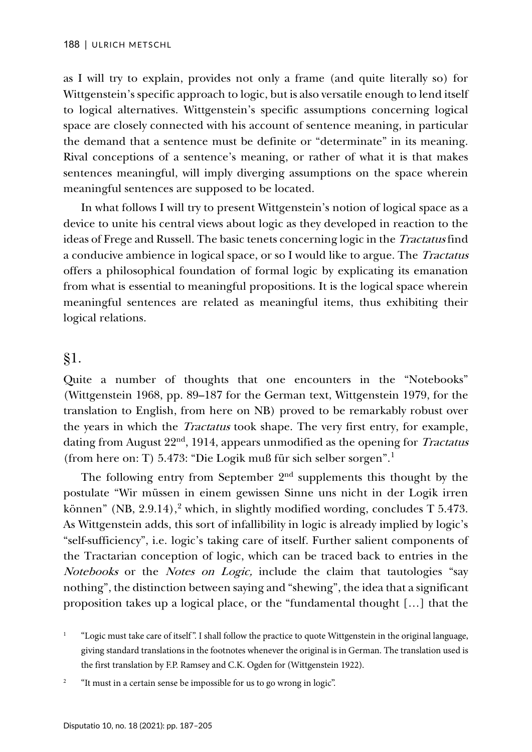as I will try to explain, provides not only a frame (and quite literally so) for Wittgenstein's specific approach to logic, but is also versatile enough to lend itself to logical alternatives. Wittgenstein's specific assumptions concerning logical space are closely connected with his account of sentence meaning, in particular the demand that a sentence must be definite or "determinate" in its meaning. Rival conceptions of a sentence's meaning, or rather of what it is that makes sentences meaningful, will imply diverging assumptions on the space wherein meaningful sentences are supposed to be located.

In what follows I will try to present Wittgenstein's notion of logical space as a device to unite his central views about logic as they developed in reaction to the ideas of Frege and Russell. The basic tenets concerning logic in the Tractatus find a conducive ambience in logical space, or so I would like to argue. The Tractatus offers a philosophical foundation of formal logic by explicating its emanation from what is essential to meaningful propositions. It is the logical space wherein meaningful sentences are related as meaningful items, thus exhibiting their logical relations.

## §1.

Quite a number of thoughts that one encounters in the "Notebooks" (Wittgenstein 1968, pp. 89–187 for the German text, Wittgenstein 1979, for the translation to English, from here on NB) proved to be remarkably robust over the years in which the *Tractatus* took shape. The very first entry, for example, dating from August 22<sup>nd</sup>, 1914, appears unmodified as the opening for *Tractatus* (from here on: T) 5.473: "Die Logik muß für sich selber sorgen". [1](#page-1-0)

The following entry from September  $2<sup>nd</sup>$  supplements this thought by the postulate "Wir müssen in einem gewissen Sinne uns nicht in der Logik irren können" (NB, 2.9.14), [2](#page-1-1) which, in slightly modified wording, concludes T 5.473. As Wittgenstein adds, this sort of infallibility in logic is already implied by logic's "self-sufficiency", i.e. logic's taking care of itself. Further salient components of the Tractarian conception of logic, which can be traced back to entries in the Notebooks or the Notes on Logic, include the claim that tautologies "say nothing", the distinction between saying and "shewing", the idea that a significant proposition takes up a logical place, or the "fundamental thought […] that the

<span id="page-1-0"></span><sup>1</sup> "Logic must take care of itself ". I shall follow the practice to quote Wittgenstein in the original language, giving standard translations in the footnotes whenever the original is in German. The translation used is the first translation by F.P. Ramsey and C.K. Ogden for (Wittgenstein 1922).

<span id="page-1-1"></span><sup>2</sup> "It must in a certain sense be impossible for us to go wrong in logic".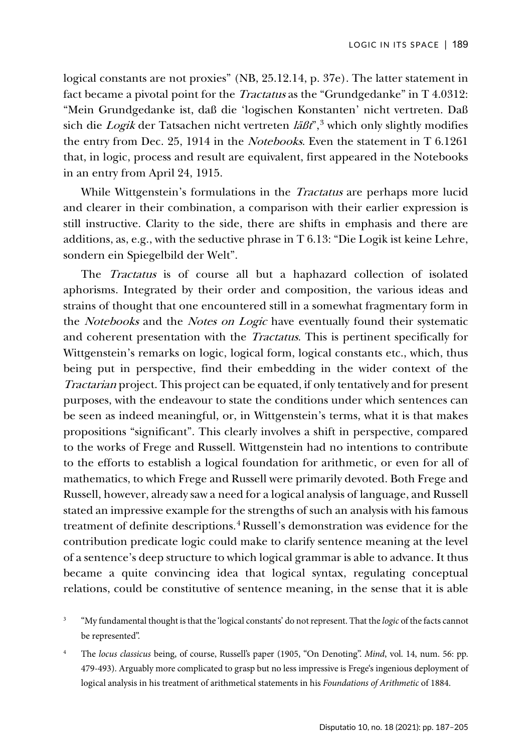logical constants are not proxies" (NB, 25.12.14, p. 37e). The latter statement in fact became a pivotal point for the Tractatus as the "Grundgedanke" in T 4.0312: "Mein Grundgedanke ist, daß die 'logischen Konstanten' nicht vertreten. Daß sich die *Logik* der Tatsachen nicht vertreten  $\frac{2}{3}$  $\frac{2}{3}$  $\frac{2}{3}$  which only slightly modifies the entry from Dec. 25, 1914 in the Notebooks. Even the statement in T 6.1261 that, in logic, process and result are equivalent, first appeared in the Notebooks in an entry from April 24, 1915.

While Wittgenstein's formulations in the *Tractatus* are perhaps more lucid and clearer in their combination, a comparison with their earlier expression is still instructive. Clarity to the side, there are shifts in emphasis and there are additions, as, e.g., with the seductive phrase in T 6.13: "Die Logik ist keine Lehre, sondern ein Spiegelbild der Welt".

The *Tractatus* is of course all but a haphazard collection of isolated aphorisms. Integrated by their order and composition, the various ideas and strains of thought that one encountered still in a somewhat fragmentary form in the Notebooks and the Notes on Logic have eventually found their systematic and coherent presentation with the Tractatus. This is pertinent specifically for Wittgenstein's remarks on logic, logical form, logical constants etc., which, thus being put in perspective, find their embedding in the wider context of the Tractarian project. This project can be equated, if only tentatively and for present purposes, with the endeavour to state the conditions under which sentences can be seen as indeed meaningful, or, in Wittgenstein's terms, what it is that makes propositions "significant". This clearly involves a shift in perspective, compared to the works of Frege and Russell. Wittgenstein had no intentions to contribute to the efforts to establish a logical foundation for arithmetic, or even for all of mathematics, to which Frege and Russell were primarily devoted. Both Frege and Russell, however, already saw a need for a logical analysis of language, and Russell stated an impressive example for the strengths of such an analysis with his famous treatment of definite descriptions.<sup>[4](#page-2-1)</sup> Russell's demonstration was evidence for the contribution predicate logic could make to clarify sentence meaning at the level of a sentence's deep structure to which logical grammar is able to advance. It thus became a quite convincing idea that logical syntax, regulating conceptual relations, could be constitutive of sentence meaning, in the sense that it is able

<span id="page-2-0"></span><sup>3</sup> "My fundamental thought is that the 'logical constants' do not represent. That the *logic* of the facts cannot be represented".

<span id="page-2-1"></span><sup>4</sup> The *locus classicus* being, of course, Russell's paper (1905, "On Denoting". *Mind*, vol. 14, num. 56: pp. 479-493). Arguably more complicated to grasp but no less impressive is Frege's ingenious deployment of logical analysis in his treatment of arithmetical statements in his *Foundations of Arithmetic* of 1884.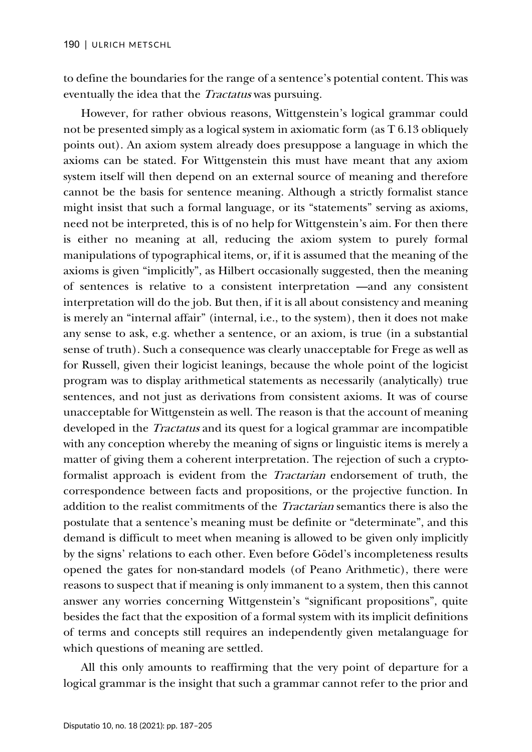to define the boundaries for the range of a sentence's potential content. This was eventually the idea that the Tractatus was pursuing.

However, for rather obvious reasons, Wittgenstein's logical grammar could not be presented simply as a logical system in axiomatic form (as T 6.13 obliquely points out). An axiom system already does presuppose a language in which the axioms can be stated. For Wittgenstein this must have meant that any axiom system itself will then depend on an external source of meaning and therefore cannot be the basis for sentence meaning. Although a strictly formalist stance might insist that such a formal language, or its "statements" serving as axioms, need not be interpreted, this is of no help for Wittgenstein's aim. For then there is either no meaning at all, reducing the axiom system to purely formal manipulations of typographical items, or, if it is assumed that the meaning of the axioms is given "implicitly", as Hilbert occasionally suggested, then the meaning of sentences is relative to a consistent interpretation —and any consistent interpretation will do the job. But then, if it is all about consistency and meaning is merely an "internal affair" (internal, i.e., to the system), then it does not make any sense to ask, e.g. whether a sentence, or an axiom, is true (in a substantial sense of truth). Such a consequence was clearly unacceptable for Frege as well as for Russell, given their logicist leanings, because the whole point of the logicist program was to display arithmetical statements as necessarily (analytically) true sentences, and not just as derivations from consistent axioms. It was of course unacceptable for Wittgenstein as well. The reason is that the account of meaning developed in the *Tractatus* and its quest for a logical grammar are incompatible with any conception whereby the meaning of signs or linguistic items is merely a matter of giving them a coherent interpretation. The rejection of such a cryptoformalist approach is evident from the Tractarian endorsement of truth, the correspondence between facts and propositions, or the projective function. In addition to the realist commitments of the Tractarian semantics there is also the postulate that a sentence's meaning must be definite or "determinate", and this demand is difficult to meet when meaning is allowed to be given only implicitly by the signs' relations to each other. Even before Gödel's incompleteness results opened the gates for non-standard models (of Peano Arithmetic), there were reasons to suspect that if meaning is only immanent to a system, then this cannot answer any worries concerning Wittgenstein's "significant propositions", quite besides the fact that the exposition of a formal system with its implicit definitions of terms and concepts still requires an independently given metalanguage for which questions of meaning are settled.

All this only amounts to reaffirming that the very point of departure for a logical grammar is the insight that such a grammar cannot refer to the prior and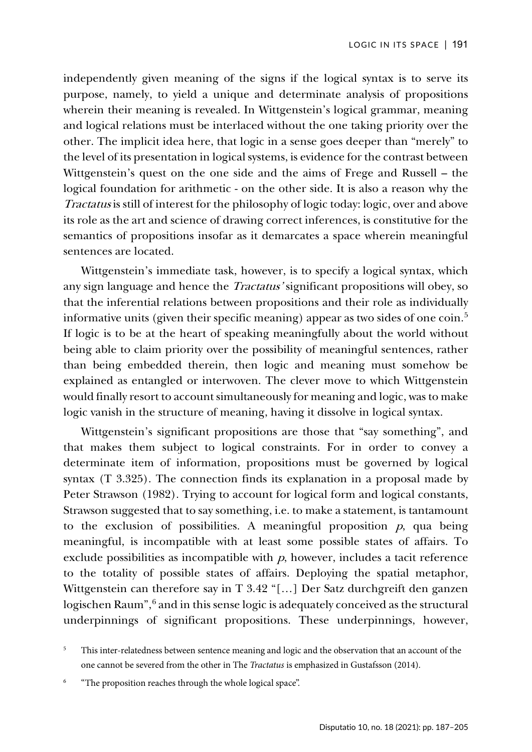independently given meaning of the signs if the logical syntax is to serve its purpose, namely, to yield a unique and determinate analysis of propositions wherein their meaning is revealed. In Wittgenstein's logical grammar, meaning and logical relations must be interlaced without the one taking priority over the other. The implicit idea here, that logic in a sense goes deeper than "merely" to the level of its presentation in logical systems, is evidence for the contrast between Wittgenstein's quest on the one side and the aims of Frege and Russell – the logical foundation for arithmetic - on the other side. It is also a reason why the Tractatus is still of interest for the philosophy of logic today: logic, over and above its role as the art and science of drawing correct inferences, is constitutive for the semantics of propositions insofar as it demarcates a space wherein meaningful sentences are located.

Wittgenstein's immediate task, however, is to specify a logical syntax, which any sign language and hence the Tractatus' significant propositions will obey, so that the inferential relations between propositions and their role as individually informative units (given their specific meaning) appear as two sides of one coin.<sup>[5](#page-4-0)</sup> If logic is to be at the heart of speaking meaningfully about the world without being able to claim priority over the possibility of meaningful sentences, rather than being embedded therein, then logic and meaning must somehow be explained as entangled or interwoven. The clever move to which Wittgenstein would finally resort to account simultaneously for meaning and logic, was to make logic vanish in the structure of meaning, having it dissolve in logical syntax.

Wittgenstein's significant propositions are those that "say something", and that makes them subject to logical constraints. For in order to convey a determinate item of information, propositions must be governed by logical syntax (T 3.325). The connection finds its explanation in a proposal made by Peter Strawson (1982). Trying to account for logical form and logical constants, Strawson suggested that to say something, i.e. to make a statement, is tantamount to the exclusion of possibilities. A meaningful proposition  $p$ , qua being meaningful, is incompatible with at least some possible states of affairs. To exclude possibilities as incompatible with  $p$ , however, includes a tacit reference to the totality of possible states of affairs. Deploying the spatial metaphor, Wittgenstein can therefore say in T 3.42 "[…] Der Satz durchgreift den ganzen logischen Raum",<sup>[6](#page-4-1)</sup> and in this sense logic is adequately conceived as the structural underpinnings of significant propositions. These underpinnings, however,

<span id="page-4-0"></span><sup>&</sup>lt;sup>5</sup> This inter-relatedness between sentence meaning and logic and the observation that an account of the one cannot be severed from the other in The *Tractatus* is emphasized in Gustafsson (2014).

<span id="page-4-1"></span><sup>&</sup>quot;The proposition reaches through the whole logical space".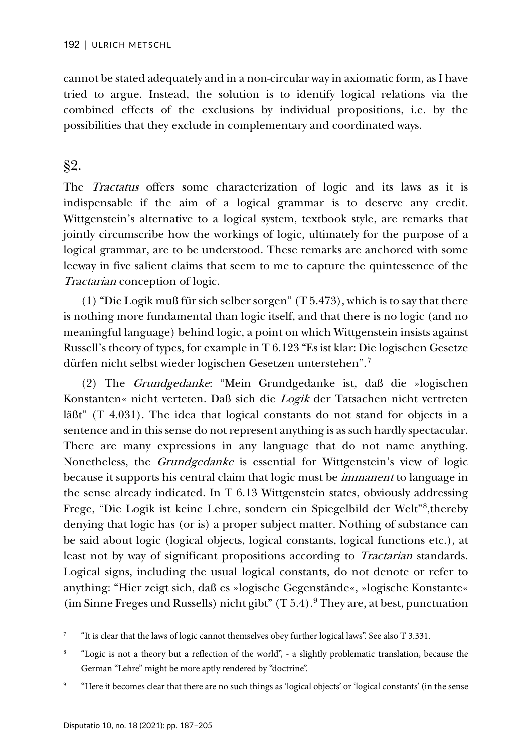cannot be stated adequately and in a non-circular way in axiomatic form, as I have tried to argue. Instead, the solution is to identify logical relations via the combined effects of the exclusions by individual propositions, i.e. by the possibilities that they exclude in complementary and coordinated ways.

## §2.

The *Tractatus* offers some characterization of logic and its laws as it is indispensable if the aim of a logical grammar is to deserve any credit. Wittgenstein's alternative to a logical system, textbook style, are remarks that jointly circumscribe how the workings of logic, ultimately for the purpose of a logical grammar, are to be understood. These remarks are anchored with some leeway in five salient claims that seem to me to capture the quintessence of the Tractarian conception of logic.

(1) "Die Logik muß für sich selber sorgen" (T 5.473), which is to say that there is nothing more fundamental than logic itself, and that there is no logic (and no meaningful language) behind logic, a point on which Wittgenstein insists against Russell's theory of types, for example in T 6.123 "Es ist klar: Die logischen Gesetze dürfen nicht selbst wieder logischen Gesetzen unterstehen". [7](#page-5-0)

(2) The Grundgedanke: "Mein Grundgedanke ist, daß die »logischen Konstanten« nicht verteten. Daß sich die Logik der Tatsachen nicht vertreten läßt" (T 4.031). The idea that logical constants do not stand for objects in a sentence and in this sense do not represent anything is as such hardly spectacular. There are many expressions in any language that do not name anything. Nonetheless, the Grundgedanke is essential for Wittgenstein's view of logic because it supports his central claim that logic must be immanent to language in the sense already indicated. In T 6.13 Wittgenstein states, obviously addressing Frege, "Die Logik ist keine Lehre, sondern ein Spiegelbild der Welt"<sup>[8](#page-5-1)</sup>, thereby denying that logic has (or is) a proper subject matter. Nothing of substance can be said about logic (logical objects, logical constants, logical functions etc.), at least not by way of significant propositions according to *Tractarian* standards. Logical signs, including the usual logical constants, do not denote or refer to anything: "Hier zeigt sich, daß es »logische Gegenstände«, »logische Konstante« (im Sinne Freges und Russells) nicht gibt" (T 5.4).<sup>[9](#page-5-2)</sup> They are, at best, punctuation

<span id="page-5-0"></span><sup>&</sup>lt;sup>7</sup> "It is clear that the laws of logic cannot themselves obey further logical laws". See also T 3.331.

<span id="page-5-1"></span><sup>&</sup>lt;sup>8</sup> "Logic is not a theory but a reflection of the world", - a slightly problematic translation, because the German "Lehre" might be more aptly rendered by "doctrine".

<span id="page-5-2"></span><sup>9</sup> "Here it becomes clear that there are no such things as 'logical objects' or 'logical constants' (in the sense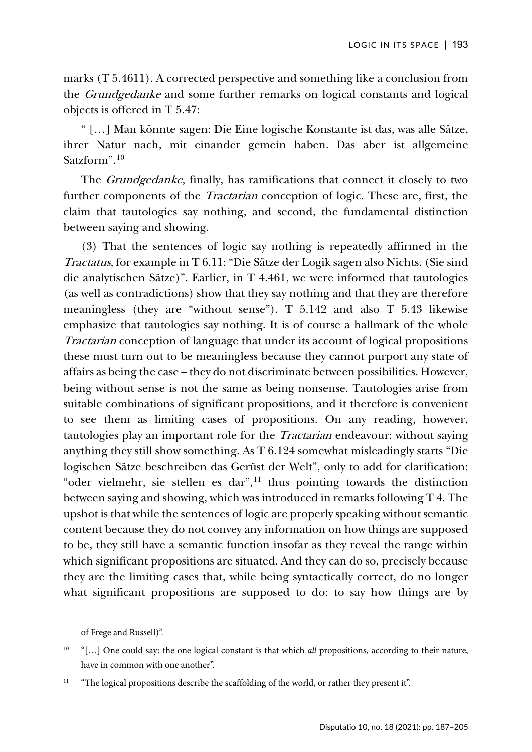marks (T 5.4611). A corrected perspective and something like a conclusion from the Grundgedanke and some further remarks on logical constants and logical objects is offered in T 5.47:

" […] Man könnte sagen: Die Eine logische Konstante ist das, was alle Sätze, ihrer Natur nach, mit einander gemein haben. Das aber ist allgemeine Satzform". [10](#page-6-0)

The *Grundgedanke*, finally, has ramifications that connect it closely to two further components of the Tractarian conception of logic. These are, first, the claim that tautologies say nothing, and second, the fundamental distinction between saying and showing.

(3) That the sentences of logic say nothing is repeatedly affirmed in the Tractatus, for example in T 6.11: "Die Sätze der Logik sagen also Nichts. (Sie sind die analytischen Sätze)". Earlier, in T 4.461, we were informed that tautologies (as well as contradictions) show that they say nothing and that they are therefore meaningless (they are "without sense"). T 5.142 and also T 5.43 likewise emphasize that tautologies say nothing. It is of course a hallmark of the whole Tractarian conception of language that under its account of logical propositions these must turn out to be meaningless because they cannot purport any state of affairs as being the case – they do not discriminate between possibilities. However, being without sense is not the same as being nonsense. Tautologies arise from suitable combinations of significant propositions, and it therefore is convenient to see them as limiting cases of propositions. On any reading, however, tautologies play an important role for the *Tractarian* endeavour: without saying anything they still show something. As T 6.124 somewhat misleadingly starts "Die logischen Sätze beschreiben das Gerüst der Welt", only to add for clarification: "oder vielmehr, sie stellen es dar",<sup>[11](#page-6-1)</sup> thus pointing towards the distinction between saying and showing, which was introduced in remarks following T 4. The upshot is that while the sentences of logic are properly speaking without semantic content because they do not convey any information on how things are supposed to be, they still have a semantic function insofar as they reveal the range within which significant propositions are situated. And they can do so, precisely because they are the limiting cases that, while being syntactically correct, do no longer what significant propositions are supposed to do: to say how things are by

of Frege and Russell)".

<span id="page-6-0"></span><sup>10</sup> "[…] One could say: the one logical constant is that which *all* propositions, according to their nature, have in common with one another".

<span id="page-6-1"></span><sup>&</sup>lt;sup>11</sup> "The logical propositions describe the scaffolding of the world, or rather they present it".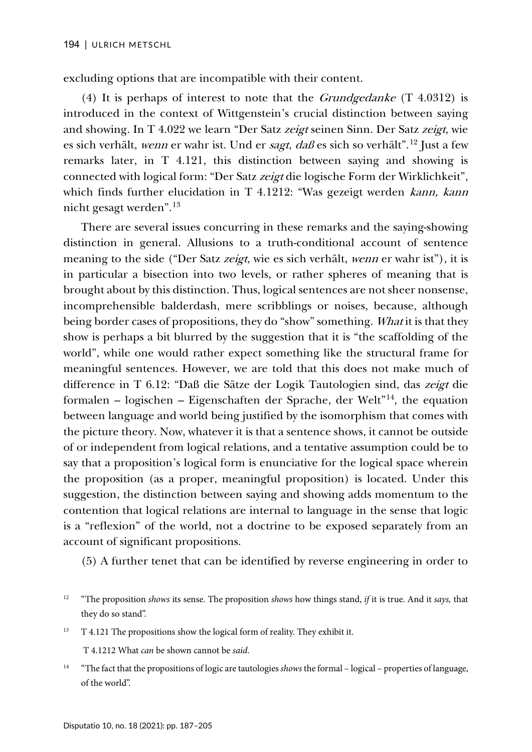excluding options that are incompatible with their content.

(4) It is perhaps of interest to note that the *Grundgedanke*  $(T 4.0312)$  is introduced in the context of Wittgenstein's crucial distinction between saying and showing. In T 4.022 we learn "Der Satz zeigt seinen Sinn. Der Satz zeigt, wie es sich verhält, *wenn* er wahr ist. Und er *sagt, daß* es sich so verhält".<sup>[12](#page-7-0)</sup> Just a few remarks later, in T 4.121, this distinction between saying and showing is connected with logical form: "Der Satz zeigt die logische Form der Wirklichkeit", which finds further elucidation in T 4.1212: "Was gezeigt werden kann, kann nicht gesagt werden". [13](#page-7-1)

There are several issues concurring in these remarks and the saying-showing distinction in general. Allusions to a truth-conditional account of sentence meaning to the side ("Der Satz zeigt, wie es sich verhält, wenn er wahr ist"), it is in particular a bisection into two levels, or rather spheres of meaning that is brought about by this distinction. Thus, logical sentences are not sheer nonsense, incomprehensible balderdash, mere scribblings or noises, because, although being border cases of propositions, they do "show" something. What it is that they show is perhaps a bit blurred by the suggestion that it is "the scaffolding of the world", while one would rather expect something like the structural frame for meaningful sentences. However, we are told that this does not make much of difference in T 6.12: "Daß die Sätze der Logik Tautologien sind, das zeigt die formalen – logischen – Eigenschaften der Sprache, der Welt"<sup>[14](#page-7-2)</sup>, the equation between language and world being justified by the isomorphism that comes with the picture theory. Now, whatever it is that a sentence shows, it cannot be outside of or independent from logical relations, and a tentative assumption could be to say that a proposition's logical form is enunciative for the logical space wherein the proposition (as a proper, meaningful proposition) is located. Under this suggestion, the distinction between saying and showing adds momentum to the contention that logical relations are internal to language in the sense that logic is a "reflexion" of the world, not a doctrine to be exposed separately from an account of significant propositions.

(5) A further tenet that can be identified by reverse engineering in order to

<span id="page-7-1"></span> $13$  T 4.121 The propositions show the logical form of reality. They exhibit it.

T 4.1212 What *can* be shown cannot be *said*.

<span id="page-7-2"></span><sup>14</sup> "The fact that the propositions of logic are tautologies *shows* the formal – logical – properties of language, of the world".

<span id="page-7-0"></span><sup>12</sup> "The proposition *shows* its sense. The proposition *shows* how things stand, *if* it is true. And it *says,* that they do so stand".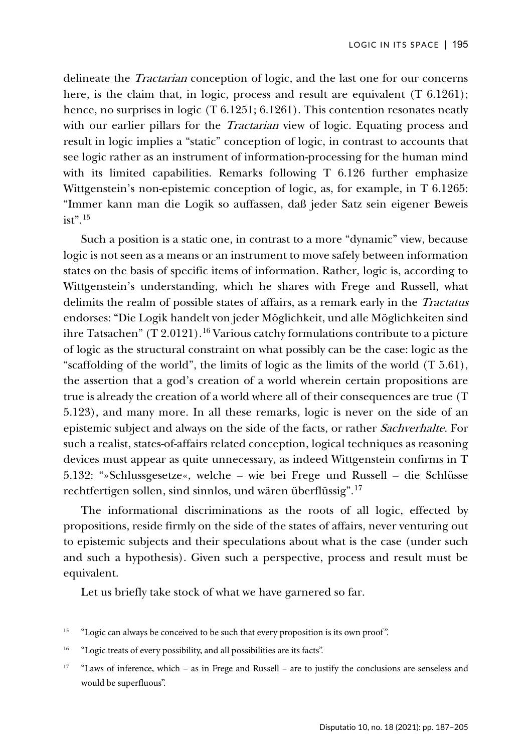delineate the Tractarian conception of logic, and the last one for our concerns here, is the claim that, in logic, process and result are equivalent (T 6.1261); hence, no surprises in logic (T 6.1251; 6.1261). This contention resonates neatly with our earlier pillars for the *Tractarian* view of logic. Equating process and result in logic implies a "static" conception of logic, in contrast to accounts that see logic rather as an instrument of information-processing for the human mind with its limited capabilities. Remarks following T 6.126 further emphasize Wittgenstein's non-epistemic conception of logic, as, for example, in T 6.1265: "Immer kann man die Logik so auffassen, daß jeder Satz sein eigener Beweis ist". [15](#page-8-0)

Such a position is a static one, in contrast to a more "dynamic" view, because logic is not seen as a means or an instrument to move safely between information states on the basis of specific items of information. Rather, logic is, according to Wittgenstein's understanding, which he shares with Frege and Russell, what delimits the realm of possible states of affairs, as a remark early in the Tractatus endorses: "Die Logik handelt von jeder Möglichkeit, und alle Möglichkeiten sind ihre Tatsachen"  $(T 2.0121)$ .<sup>[16](#page-8-1)</sup> Various catchy formulations contribute to a picture of logic as the structural constraint on what possibly can be the case: logic as the "scaffolding of the world", the limits of logic as the limits of the world (T 5.61), the assertion that a god's creation of a world wherein certain propositions are true is already the creation of a world where all of their consequences are true (T 5.123), and many more. In all these remarks, logic is never on the side of an epistemic subject and always on the side of the facts, or rather Sachverhalte. For such a realist, states-of-affairs related conception, logical techniques as reasoning devices must appear as quite unnecessary, as indeed Wittgenstein confirms in T 5.132: "»Schlussgesetze«, welche – wie bei Frege und Russell – die Schlüsse rechtfertigen sollen, sind sinnlos, und wären überflüssig". [17](#page-8-2)

The informational discriminations as the roots of all logic, effected by propositions, reside firmly on the side of the states of affairs, never venturing out to epistemic subjects and their speculations about what is the case (under such and such a hypothesis). Given such a perspective, process and result must be equivalent.

Let us briefly take stock of what we have garnered so far.

- <span id="page-8-0"></span><sup>15</sup> "Logic can always be conceived to be such that every proposition is its own proof".
- <span id="page-8-1"></span><sup>16</sup> "Logic treats of every possibility, and all possibilities are its facts".
- <span id="page-8-2"></span><sup>17</sup> "Laws of inference, which – as in Frege and Russell – are to justify the conclusions are senseless and would be superfluous".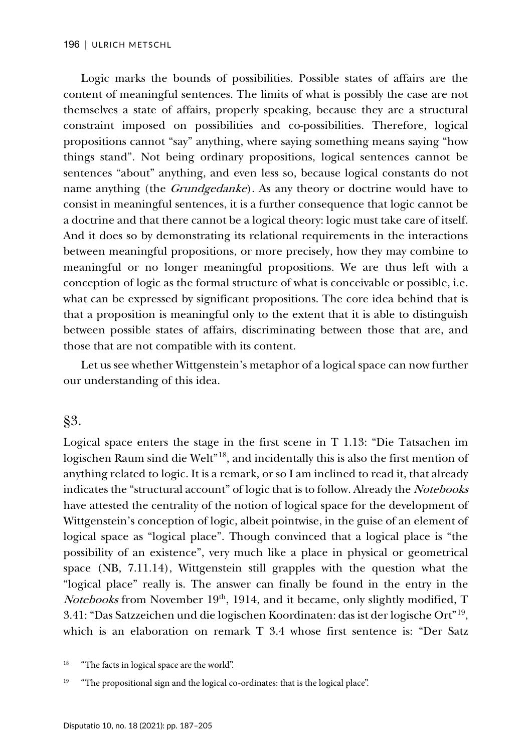Logic marks the bounds of possibilities. Possible states of affairs are the content of meaningful sentences. The limits of what is possibly the case are not themselves a state of affairs, properly speaking, because they are a structural constraint imposed on possibilities and co-possibilities. Therefore, logical propositions cannot "say" anything, where saying something means saying "how things stand". Not being ordinary propositions, logical sentences cannot be sentences "about" anything, and even less so, because logical constants do not name anything (the *Grundgedanke*). As any theory or doctrine would have to consist in meaningful sentences, it is a further consequence that logic cannot be a doctrine and that there cannot be a logical theory: logic must take care of itself. And it does so by demonstrating its relational requirements in the interactions between meaningful propositions, or more precisely, how they may combine to meaningful or no longer meaningful propositions. We are thus left with a conception of logic as the formal structure of what is conceivable or possible, i.e. what can be expressed by significant propositions. The core idea behind that is that a proposition is meaningful only to the extent that it is able to distinguish between possible states of affairs, discriminating between those that are, and those that are not compatible with its content.

Let us see whether Wittgenstein's metaphor of a logical space can now further our understanding of this idea.

§3.

Logical space enters the stage in the first scene in T 1.13: "Die Tatsachen im logischen Raum sind die Welt"[18,](#page-9-0) and incidentally this is also the first mention of anything related to logic. It is a remark, or so I am inclined to read it, that already indicates the "structural account" of logic that is to follow. Already the Notebooks have attested the centrality of the notion of logical space for the development of Wittgenstein's conception of logic, albeit pointwise, in the guise of an element of logical space as "logical place". Though convinced that a logical place is "the possibility of an existence", very much like a place in physical or geometrical space (NB, 7.11.14), Wittgenstein still grapples with the question what the "logical place" really is. The answer can finally be found in the entry in the Notebooks from November 19<sup>th</sup>, 1914, and it became, only slightly modified, T 3.41: "Das Satzzeichen und die logischen Koordinaten: das ist der logische Ort"[19,](#page-9-1) which is an elaboration on remark T 3.4 whose first sentence is: "Der Satz

<span id="page-9-0"></span><sup>&</sup>lt;sup>18</sup> "The facts in logical space are the world".

<span id="page-9-1"></span><sup>&</sup>lt;sup>19</sup> "The propositional sign and the logical co-ordinates: that is the logical place".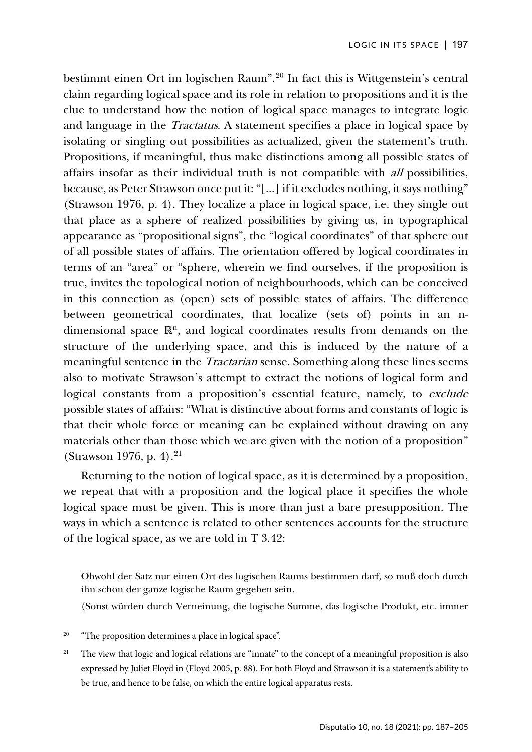bestimmt einen Ort im logischen Raum". [20](#page-10-0) In fact this is Wittgenstein's central claim regarding logical space and its role in relation to propositions and it is the clue to understand how the notion of logical space manages to integrate logic and language in the *Tractatus*. A statement specifies a place in logical space by isolating or singling out possibilities as actualized, given the statement's truth. Propositions, if meaningful, thus make distinctions among all possible states of affairs insofar as their individual truth is not compatible with all possibilities, because, as Peter Strawson once put it: "[...] if it excludes nothing, it says nothing" (Strawson 1976, p. 4). They localize a place in logical space, i.e. they single out that place as a sphere of realized possibilities by giving us, in typographical appearance as "propositional signs", the "logical coordinates" of that sphere out of all possible states of affairs. The orientation offered by logical coordinates in terms of an "area" or "sphere, wherein we find ourselves, if the proposition is true, invites the topological notion of neighbourhoods, which can be conceived in this connection as (open) sets of possible states of affairs. The difference between geometrical coordinates, that localize (sets of) points in an ndimensional space ℝ<sup>n</sup>, and logical coordinates results from demands on the structure of the underlying space, and this is induced by the nature of a meaningful sentence in the *Tractarian* sense. Something along these lines seems also to motivate Strawson's attempt to extract the notions of logical form and logical constants from a proposition's essential feature, namely, to exclude possible states of affairs: "What is distinctive about forms and constants of logic is that their whole force or meaning can be explained without drawing on any materials other than those which we are given with the notion of a proposition" (Strawson 1976, p. 4). [21](#page-10-1)

Returning to the notion of logical space, as it is determined by a proposition, we repeat that with a proposition and the logical place it specifies the whole logical space must be given. This is more than just a bare presupposition. The ways in which a sentence is related to other sentences accounts for the structure of the logical space, as we are told in T 3.42:

Obwohl der Satz nur einen Ort des logischen Raums bestimmen darf, so muß doch durch ihn schon der ganze logische Raum gegeben sein.

(Sonst würden durch Verneinung, die logische Summe, das logische Produkt, etc. immer

- <span id="page-10-0"></span>"The proposition determines a place in logical space".
- <span id="page-10-1"></span><sup>21</sup> The view that logic and logical relations are "innate" to the concept of a meaningful proposition is also expressed by Juliet Floyd in (Floyd 2005, p. 88). For both Floyd and Strawson it is a statement's ability to be true, and hence to be false, on which the entire logical apparatus rests.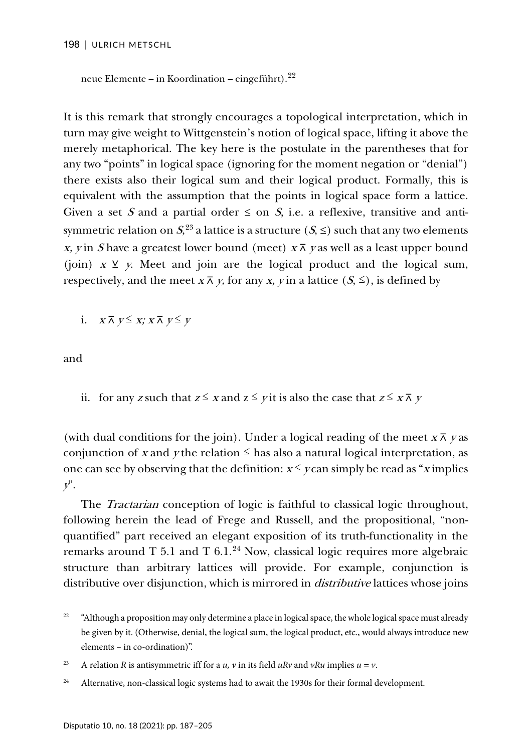```
neue Elemente – in Koordination – eingeführt).
22
```
It is this remark that strongly encourages a topological interpretation, which in turn may give weight to Wittgenstein's notion of logical space, lifting it above the merely metaphorical. The key here is the postulate in the parentheses that for any two "points" in logical space (ignoring for the moment negation or "denial") there exists also their logical sum and their logical product. Formally, this is equivalent with the assumption that the points in logical space form a lattice. Given a set S and a partial order  $\leq$  on S, i.e. a reflexive, transitive and antisymmetric relation on  $S^{23}$  $S^{23}$  $S^{23}$  a lattice is a structure  $(S, \leq)$  such that any two elements x, y in S have a greatest lower bound (meet)  $x \bar{x}$  y as well as a least upper bound (join)  $x \vee y$ . Meet and join are the logical product and the logical sum, respectively, and the meet  $x \bar{x}$ ,  $y$ , for any  $x$ ,  $y$  in a lattice  $(S, \leq)$ , is defined by

i.  $X \overline{\wedge} Y \leq X$ ;  $X \overline{\wedge} Y \leq Y$ 

and

ii. for any z such that  $z \le x$  and  $z \le y$  it is also the case that  $z \le x \overline{\wedge} y$ 

(with dual conditions for the join). Under a logical reading of the meet  $x \bar{x}$  y as conjunction of x and y the relation  $\leq$  has also a natural logical interpretation, as one can see by observing that the definition:  $x \le y$  can simply be read as "x implies"  $y$ ".

The *Tractarian* conception of logic is faithful to classical logic throughout, following herein the lead of Frege and Russell, and the propositional, "nonquantified" part received an elegant exposition of its truth-functionality in the remarks around T 5.1 and T 6.1.<sup>[24](#page-11-2)</sup> Now, classical logic requires more algebraic structure than arbitrary lattices will provide. For example, conjunction is distributive over disjunction, which is mirrored in *distributive* lattices whose joins

<span id="page-11-0"></span><sup>&</sup>lt;sup>22</sup> "Although a proposition may only determine a place in logical space, the whole logical space must already be given by it. (Otherwise, denial, the logical sum, the logical product, etc., would always introduce new elements – in co-ordination)".

<span id="page-11-1"></span><sup>&</sup>lt;sup>23</sup> A relation *R* is antisymmetric iff for a *u*, *v* in its field *uRv* and *vRu* implies  $u = v$ .

<span id="page-11-2"></span><sup>&</sup>lt;sup>24</sup> Alternative, non-classical logic systems had to await the 1930s for their formal development.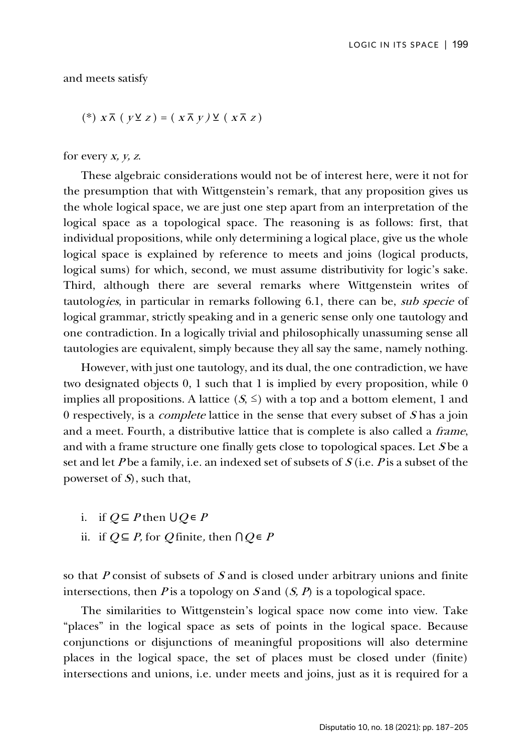and meets satisfy

$$
(*)\; x \overline{\wedge} \; (y \vee z) = (x \overline{\wedge} \; y) \vee (x \overline{\wedge} \; z)
$$

for every  $x, y, z$ .

These algebraic considerations would not be of interest here, were it not for the presumption that with Wittgenstein's remark, that any proposition gives us the whole logical space, we are just one step apart from an interpretation of the logical space as a topological space. The reasoning is as follows: first, that individual propositions, while only determining a logical place, give us the whole logical space is explained by reference to meets and joins (logical products, logical sums) for which, second, we must assume distributivity for logic's sake. Third, although there are several remarks where Wittgenstein writes of tautologies, in particular in remarks following 6.1, there can be, sub specie of logical grammar, strictly speaking and in a generic sense only one tautology and one contradiction. In a logically trivial and philosophically unassuming sense all tautologies are equivalent, simply because they all say the same, namely nothing.

However, with just one tautology, and its dual, the one contradiction, we have two designated objects 0, 1 such that 1 is implied by every proposition, while 0 implies all propositions. A lattice  $(S, \leq)$  with a top and a bottom element, 1 and 0 respectively, is a *complete* lattice in the sense that every subset of  $S$  has a join and a meet. Fourth, a distributive lattice that is complete is also called a frame, and with a frame structure one finally gets close to topological spaces. Let <sup>S</sup> be a set and let P be a family, i.e. an indexed set of subsets of  $S$  (i.e. P is a subset of the powerset of  $S$ , such that,

- i. if  $Q \subseteq P$  then  $\bigcup Q \in P$
- ii. if  $Q \subseteq P$ , for Q finite, then  $\bigcap Q \in P$

so that  $P$  consist of subsets of  $S$  and is closed under arbitrary unions and finite intersections, then  $P$  is a topology on  $S$  and  $(S, P)$  is a topological space.

The similarities to Wittgenstein's logical space now come into view. Take "places" in the logical space as sets of points in the logical space. Because conjunctions or disjunctions of meaningful propositions will also determine places in the logical space, the set of places must be closed under (finite) intersections and unions, i.e. under meets and joins, just as it is required for a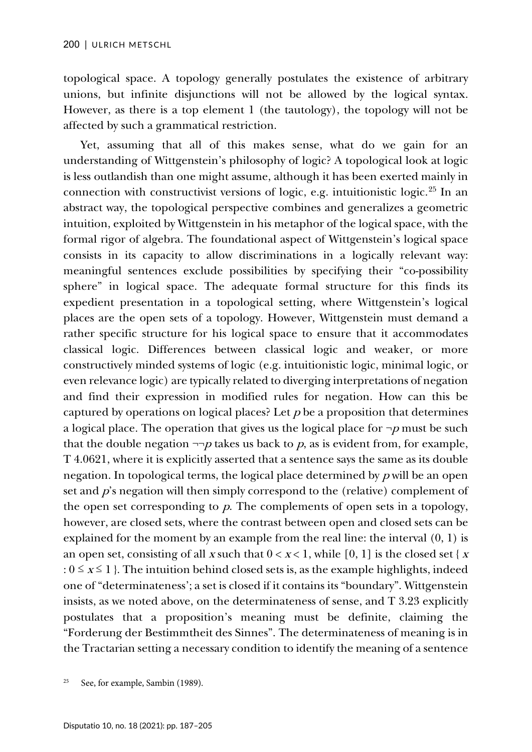topological space. A topology generally postulates the existence of arbitrary unions, but infinite disjunctions will not be allowed by the logical syntax. However, as there is a top element 1 (the tautology), the topology will not be affected by such a grammatical restriction.

Yet, assuming that all of this makes sense, what do we gain for an understanding of Wittgenstein's philosophy of logic? A topological look at logic is less outlandish than one might assume, although it has been exerted mainly in connection with constructivist versions of logic, e.g. intuitionistic logic.[25](#page-13-0) In an abstract way, the topological perspective combines and generalizes a geometric intuition, exploited by Wittgenstein in his metaphor of the logical space, with the formal rigor of algebra. The foundational aspect of Wittgenstein's logical space consists in its capacity to allow discriminations in a logically relevant way: meaningful sentences exclude possibilities by specifying their "co-possibility sphere" in logical space. The adequate formal structure for this finds its expedient presentation in a topological setting, where Wittgenstein's logical places are the open sets of a topology. However, Wittgenstein must demand a rather specific structure for his logical space to ensure that it accommodates classical logic. Differences between classical logic and weaker, or more constructively minded systems of logic (e.g. intuitionistic logic, minimal logic, or even relevance logic) are typically related to diverging interpretations of negation and find their expression in modified rules for negation. How can this be captured by operations on logical places? Let  $p$  be a proposition that determines a logical place. The operation that gives us the logical place for  $\neg p$  must be such that the double negation  $\neg\neg p$  takes us back to p, as is evident from, for example, T 4.0621, where it is explicitly asserted that a sentence says the same as its double negation. In topological terms, the logical place determined by  $p$  will be an open set and  $p$ 's negation will then simply correspond to the (relative) complement of the open set corresponding to  $p$ . The complements of open sets in a topology, however, are closed sets, where the contrast between open and closed sets can be explained for the moment by an example from the real line: the interval (0, 1) is an open set, consisting of all x such that  $0 < x < 1$ , while [0, 1] is the closed set { x :  $0 \le x \le 1$  }. The intuition behind closed sets is, as the example highlights, indeed one of "determinateness'; a set is closed if it contains its "boundary". Wittgenstein insists, as we noted above, on the determinateness of sense, and T 3.23 explicitly postulates that a proposition's meaning must be definite, claiming the "Forderung der Bestimmtheit des Sinnes". The determinateness of meaning is in the Tractarian setting a necessary condition to identify the meaning of a sentence

<span id="page-13-0"></span>See, for example, Sambin (1989).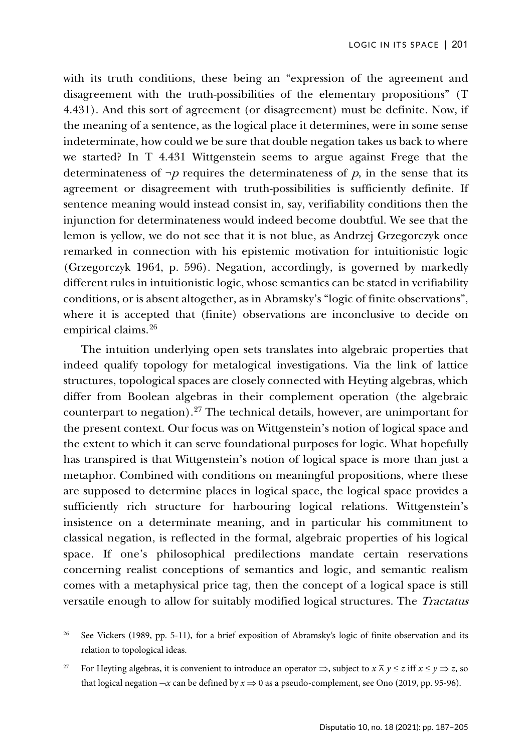with its truth conditions, these being an "expression of the agreement and disagreement with the truth-possibilities of the elementary propositions" (T 4.431). And this sort of agreement (or disagreement) must be definite. Now, if the meaning of a sentence, as the logical place it determines, were in some sense indeterminate, how could we be sure that double negation takes us back to where we started? In T 4.431 Wittgenstein seems to argue against Frege that the determinateness of  $\neg p$  requires the determinateness of p, in the sense that its agreement or disagreement with truth-possibilities is sufficiently definite. If sentence meaning would instead consist in, say, verifiability conditions then the injunction for determinateness would indeed become doubtful. We see that the lemon is yellow, we do not see that it is not blue, as Andrzej Grzegorczyk once remarked in connection with his epistemic motivation for intuitionistic logic (Grzegorczyk 1964, p. 596). Negation, accordingly, is governed by markedly different rules in intuitionistic logic, whose semantics can be stated in verifiability conditions, or is absent altogether, as in Abramsky's "logic of finite observations", where it is accepted that (finite) observations are inconclusive to decide on empirical claims.<sup>[26](#page-14-0)</sup>

The intuition underlying open sets translates into algebraic properties that indeed qualify topology for metalogical investigations. Via the link of lattice structures, topological spaces are closely connected with Heyting algebras, which differ from Boolean algebras in their complement operation (the algebraic counterpart to negation).<sup>[27](#page-14-1)</sup> The technical details, however, are unimportant for the present context. Our focus was on Wittgenstein's notion of logical space and the extent to which it can serve foundational purposes for logic. What hopefully has transpired is that Wittgenstein's notion of logical space is more than just a metaphor. Combined with conditions on meaningful propositions, where these are supposed to determine places in logical space, the logical space provides a sufficiently rich structure for harbouring logical relations. Wittgenstein's insistence on a determinate meaning, and in particular his commitment to classical negation, is reflected in the formal, algebraic properties of his logical space. If one's philosophical predilections mandate certain reservations concerning realist conceptions of semantics and logic, and semantic realism comes with a metaphysical price tag, then the concept of a logical space is still versatile enough to allow for suitably modified logical structures. The *Tractatus* 

<span id="page-14-1"></span>For Heyting algebras, it is convenient to introduce an operator  $\Rightarrow$ , subject to  $x \bar{x}$   $y \le z$  iff  $x \le y \Rightarrow z$ , so that logical negation  $\neg x$  can be defined by  $x \Rightarrow 0$  as a pseudo-complement, see Ono (2019, pp. 95-96).

<span id="page-14-0"></span>See Vickers (1989, pp. 5-11), for a brief exposition of Abramsky's logic of finite observation and its relation to topological ideas.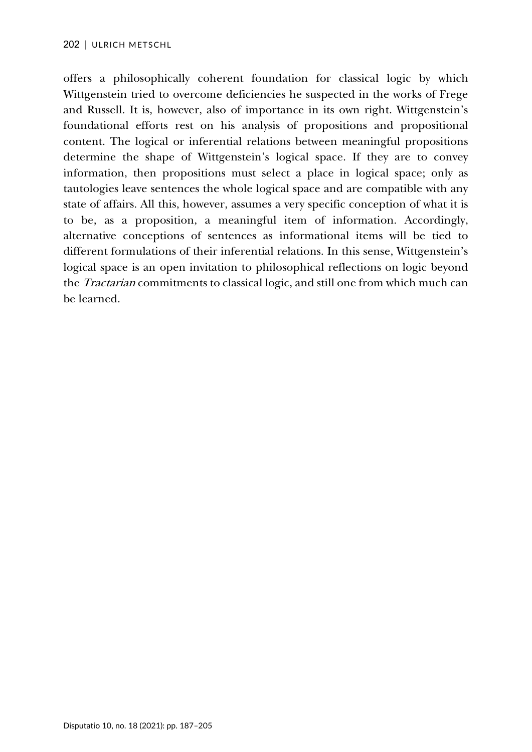offers a philosophically coherent foundation for classical logic by which Wittgenstein tried to overcome deficiencies he suspected in the works of Frege and Russell. It is, however, also of importance in its own right. Wittgenstein's foundational efforts rest on his analysis of propositions and propositional content. The logical or inferential relations between meaningful propositions determine the shape of Wittgenstein's logical space. If they are to convey information, then propositions must select a place in logical space; only as tautologies leave sentences the whole logical space and are compatible with any state of affairs. All this, however, assumes a very specific conception of what it is to be, as a proposition, a meaningful item of information. Accordingly, alternative conceptions of sentences as informational items will be tied to different formulations of their inferential relations. In this sense, Wittgenstein's logical space is an open invitation to philosophical reflections on logic beyond the Tractarian commitments to classical logic, and still one from which much can be learned.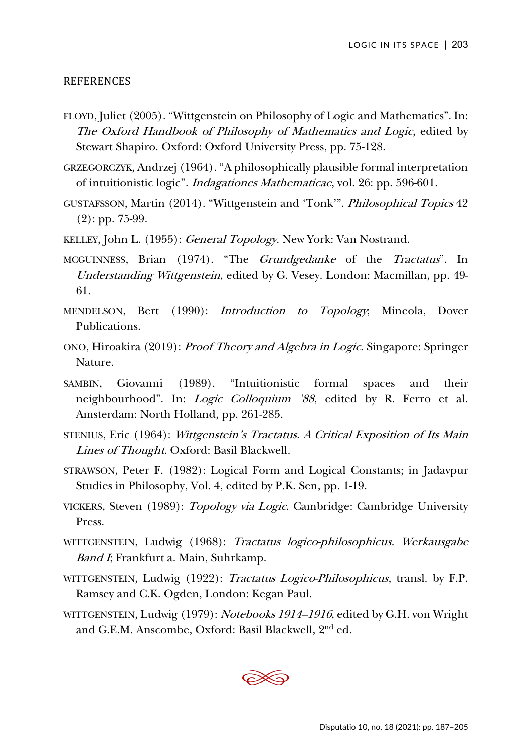### REFERENCES

- FLOYD, Juliet (2005). "Wittgenstein on Philosophy of Logic and Mathematics". In: The Oxford Handbook of Philosophy of Mathematics and Logic, edited by Stewart Shapiro. Oxford: Oxford University Press, pp. 75-128.
- GRZEGORCZYK, Andrzej (1964). "A philosophically plausible formal interpretation of intuitionistic logic". Indagationes Mathematicae, vol. 26: pp. 596-601.
- GUSTAFSSON, Martin (2014). "Wittgenstein and 'Tonk'". Philosophical Topics 42 (2): pp. 75-99.
- KELLEY, John L. (1955): General Topology. New York: Van Nostrand.
- MCGUINNESS, Brian (1974). "The Grundgedanke of the Tractatus". In Understanding Wittgenstein, edited by G. Vesey. London: Macmillan, pp. 49- 61.
- MENDELSON, Bert (1990): Introduction to Topology; Mineola, Dover Publications.
- ONO, Hiroakira (2019): Proof Theory and Algebra in Logic. Singapore: Springer Nature.
- SAMBIN, Giovanni (1989). "Intuitionistic formal spaces and their neighbourhood". In: Logic Colloquium '88, edited by R. Ferro et al. Amsterdam: North Holland, pp. 261-285.
- STENIUS, Eric (1964): Wittgenstein's Tractatus. A Critical Exposition of Its Main Lines of Thought. Oxford: Basil Blackwell.
- STRAWSON, Peter F. (1982): Logical Form and Logical Constants; in Jadavpur Studies in Philosophy, Vol. 4, edited by P.K. Sen, pp. 1-19.
- VICKERS, Steven (1989): Topology via Logic. Cambridge: Cambridge University Press.
- WITTGENSTEIN, Ludwig (1968): Tractatus logico-philosophicus. Werkausgabe Band I; Frankfurt a. Main, Suhrkamp.
- WITTGENSTEIN, Ludwig (1922): Tractatus Logico-Philosophicus, transl. by F.P. Ramsey and C.K. Ogden, London: Kegan Paul.
- WITTGENSTEIN, Ludwig (1979): Notebooks 1914–1916, edited by G.H. von Wright and G.E.M. Anscombe, Oxford: Basil Blackwell, 2nd ed.

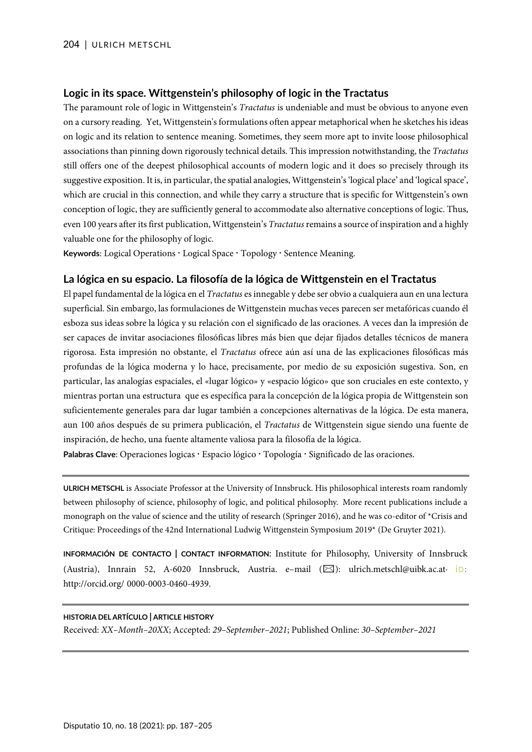#### **Logic in its space. Wittgenstein's philosophy of logic in the Tractatus**

The paramount role of logic in Wittgenstein's *Tractatus* is undeniable and must be obvious to anyone even on a cursory reading. Yet, Wittgenstein's formulations often appear metaphorical when he sketches his ideas on logic and its relation to sentence meaning. Sometimes, they seem more apt to invite loose philosophical associations than pinning down rigorously technical details. This impression notwithstanding, the *Tractatus* still offers one of the deepest philosophical accounts of modern logic and it does so precisely through its suggestive exposition. It is, in particular, the spatial analogies, Wittgenstein's 'logical place' and 'logical space', which are crucial in this connection, and while they carry a structure that is specific for Wittgenstein's own conception of logic, they are sufficiently general to accommodate also alternative conceptions of logic. Thus, even 100 years after its first publication, Wittgenstein's *Tractatus* remains a source of inspiration and a highly valuable one for the philosophy of logic.

Keywords: Logical Operations . Logical Space . Topology . Sentence Meaning.

#### **La lógica en su espacio. La filosofía de la lógica de Wittgenstein en el Tractatus**

El papel fundamental de la lógica en el *Tractatus* es innegable y debe ser obvio a cualquiera aun en una lectura superficial. Sin embargo, las formulaciones de Wittgenstein muchas veces parecen ser metafóricas cuando él esboza sus ideas sobre la lógica y su relación con el significado de las oraciones. A veces dan la impresión de ser capaces de invitar asociaciones filosóficas libres más bien que dejar fijados detalles técnicos de manera rigorosa. Esta impresión no obstante, el *Tractatus* ofrece aún así una de las explicaciones filosóficas más profundas de la lógica moderna y lo hace, precisamente, por medio de su exposición sugestiva. Son, en particular, las analogías espaciales, el «lugar lógico» y «espacio lógico» que son cruciales en este contexto, y mientras portan una estructura que es específica para la concepción de la lógica propia de Wittgenstein son suficientemente generales para dar lugar también a concepciones alternativas de la lógica. De esta manera, aun 100 años después de su primera publicación, el *Tractatus* de Wittgenstein sigue siendo una fuente de inspiración, de hecho, una fuente altamente valiosa para la filosofía de la lógica.

Palabras Clave: Operaciones logicas · Espacio lógico · Topología · Significado de las oraciones.

**ULRICH METSCHL** is Associate Professor at the University of Innsbruck. His philosophical interests roam randomly between philosophy of science, philosophy of logic, and political philosophy. More recent publications include a monograph on the value of science and the utility of research (Springer 2016), and he was co-editor of \*Crisis and Critique: Proceedings of the 42nd International Ludwig Wittgenstein Symposium 2019\* (De Gruyter 2021).

**INFORMACIÓN DE CONTACTO | CONTACT INFORMATION**: Institute for Philosophy, University of Innsbruck (Austria), Innrain 52, A-6020 Innsbruck, Austria. e–mail  $(\boxtimes)$ : ulrich.metschl@uibk.ac.at· iD: http://orcid.org/ 0000-0003-0460-4939.

#### **HISTORIA DEL ARTÍCULO | ARTICLE HISTORY**

Received: *XX–Month–20XX*; Accepted: *29–September–2021*; Published Online: *30–September–2021*